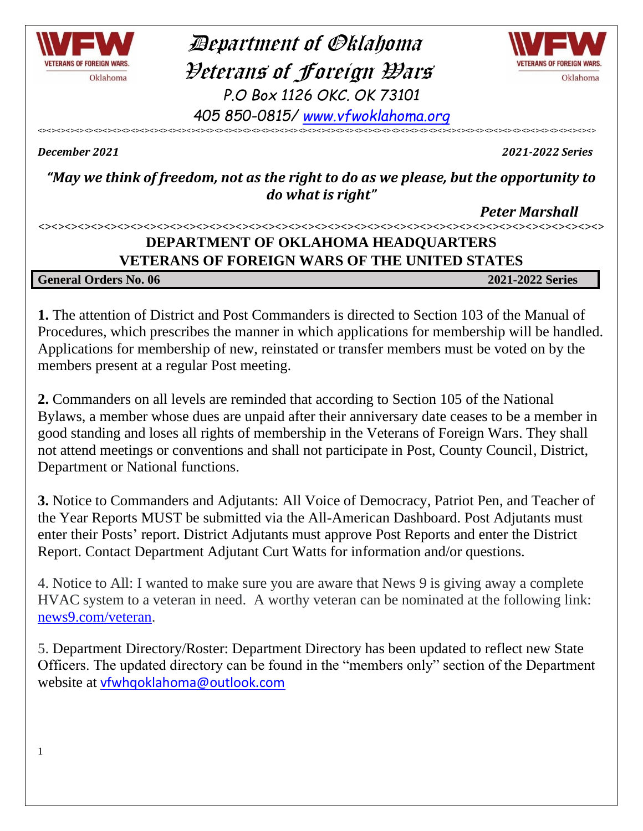

 Department of Oklahoma Veterans of Foreign Wars *P.O Box 1126 OKC. OK 73101 405 850-0815/ [www.vfwoklahoma.org](http://www.vfwoklahoma.org/)*



*December 2021 2021-2022 Series*

*"May we think of freedom, not as the right to do as we please, but the opportunity to do what is right"*

<><><><><><><><><><><><><><><><><><><><><><><><><><><><><><><><><><><><><><><><><><><><><><><><><><><><><><><><><><><><>

*Peter Marshall*

#### *<><><><><><><><><><><><><><><><><><><><><><><><><><><><><><><><><><><><><><><><><><><>*

#### **DEPARTMENT OF OKLAHOMA HEADQUARTERS VETERANS OF FOREIGN WARS OF THE UNITED STATES**

**General Orders No. 06 2021-2022 Series**

1

**1.** The attention of District and Post Commanders is directed to Section 103 of the Manual of Procedures, which prescribes the manner in which applications for membership will be handled. Applications for membership of new, reinstated or transfer members must be voted on by the members present at a regular Post meeting.

**2.** Commanders on all levels are reminded that according to Section 105 of the National Bylaws, a member whose dues are unpaid after their anniversary date ceases to be a member in good standing and loses all rights of membership in the Veterans of Foreign Wars. They shall not attend meetings or conventions and shall not participate in Post, County Council, District, Department or National functions.

**3.** Notice to Commanders and Adjutants: All Voice of Democracy, Patriot Pen, and Teacher of the Year Reports MUST be submitted via the All-American Dashboard. Post Adjutants must enter their Posts' report. District Adjutants must approve Post Reports and enter the District Report. Contact Department Adjutant Curt Watts for information and/or questions.

4. Notice to All: I wanted to make sure you are aware that News 9 is giving away a complete HVAC system to a veteran in need. A worthy veteran can be nominated at the following link: [news9.com/veteran.](http://news9.com/veteran)

5. Department Directory/Roster: Department Directory has been updated to reflect new State Officers. The updated directory can be found in the "members only" section of the Department website at [vfwhqoklahoma@outlook.com](mailto:vfwhqoklahoma@outlook.com)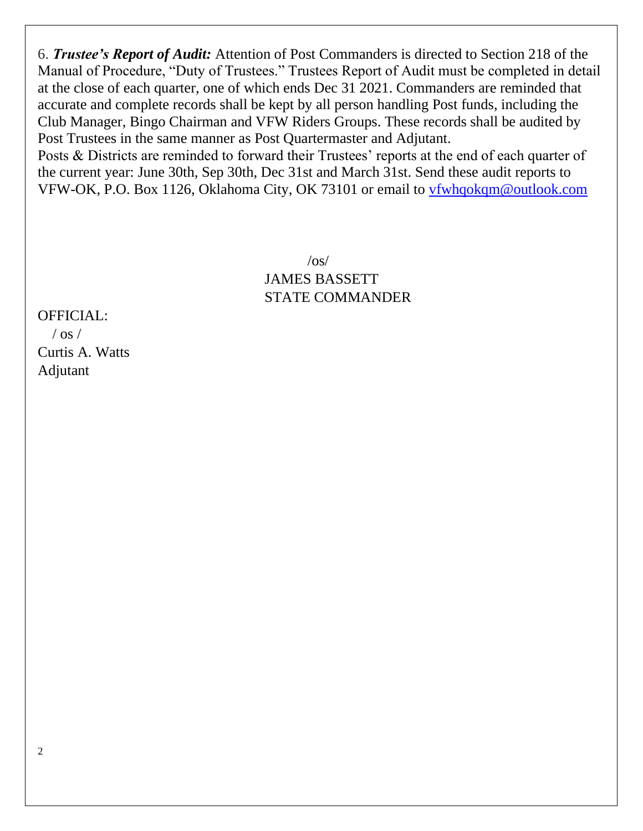6. *Trustee's Report of Audit:* Attention of Post Commanders is directed to Section 218 of the Manual of Procedure, "Duty of Trustees." Trustees Report of Audit must be completed in detail at the close of each quarter, one of which ends Dec 31 2021. Commanders are reminded that accurate and complete records shall be kept by all person handling Post funds, including the Club Manager, Bingo Chairman and VFW Riders Groups. These records shall be audited by Post Trustees in the same manner as Post Quartermaster and Adjutant. Posts & Districts are reminded to forward their Trustees' reports at the end of each quarter of

the current year: June 30th, Sep 30th, Dec 31st and March 31st. Send these audit reports to VFW-OK, P.O. Box 1126, Oklahoma City, OK 73101 or email to [vfwhqokqm@outlook.com](mailto:vfwhqokqm@outlook.com) 

> $\sqrt{OS}$ JAMES BASSETT STATE COMMANDER

OFFICIAL:  $/$  os  $/$ Curtis A. Watts Adjutant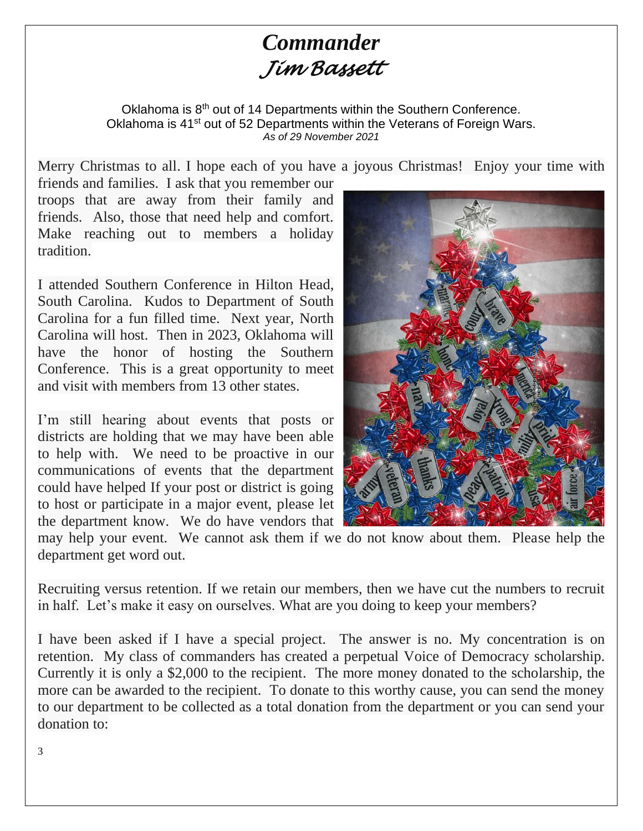# *Commander Jim Bassett*

Oklahoma is 8<sup>th</sup> out of 14 Departments within the Southern Conference. Oklahoma is 41<sup>st</sup> out of 52 Departments within the Veterans of Foreign Wars. *As of 29 November 2021*

Merry Christmas to all. I hope each of you have a joyous Christmas! Enjoy your time with

friends and families. I ask that you remember our troops that are away from their family and friends. Also, those that need help and comfort. Make reaching out to members a holiday tradition.

I attended Southern Conference in Hilton Head, South Carolina. Kudos to Department of South Carolina for a fun filled time. Next year, North Carolina will host. Then in 2023, Oklahoma will have the honor of hosting the Southern Conference. This is a great opportunity to meet and visit with members from 13 other states.

I'm still hearing about events that posts or districts are holding that we may have been able to help with. We need to be proactive in our communications of events that the department could have helped If your post or district is going to host or participate in a major event, please let the department know. We do have vendors that



may help your event. We cannot ask them if we do not know about them. Please help the department get word out.

Recruiting versus retention. If we retain our members, then we have cut the numbers to recruit in half. Let's make it easy on ourselves. What are you doing to keep your members?

I have been asked if I have a special project. The answer is no. My concentration is on retention. My class of commanders has created a perpetual Voice of Democracy scholarship. Currently it is only a \$2,000 to the recipient. The more money donated to the scholarship, the more can be awarded to the recipient. To donate to this worthy cause, you can send the money to our department to be collected as a total donation from the department or you can send your donation to: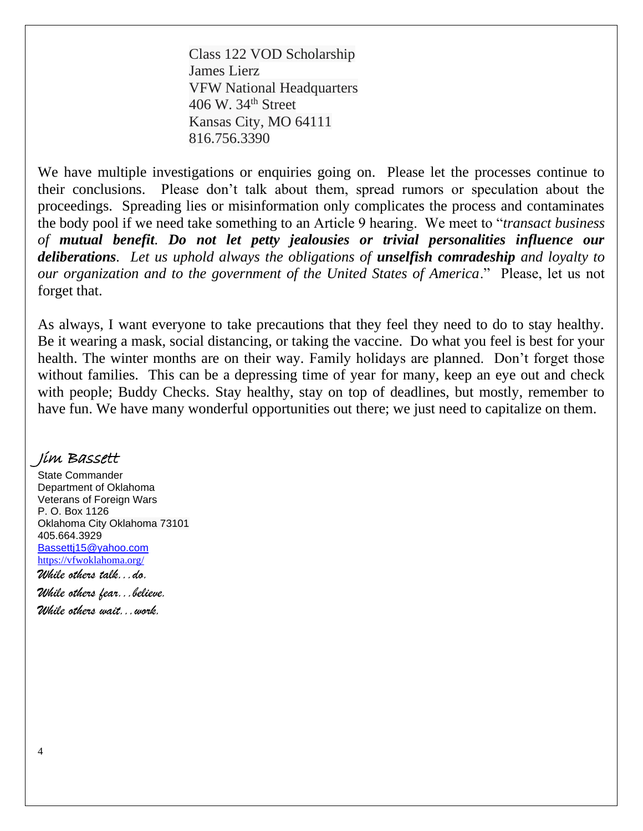Class 122 VOD Scholarship James Lierz VFW National Headquarters 406 W. 34th Street Kansas City, MO 64111 816.756.3390

We have multiple investigations or enquiries going on. Please let the processes continue to their conclusions. Please don't talk about them, spread rumors or speculation about the proceedings. Spreading lies or misinformation only complicates the process and contaminates the body pool if we need take something to an Article 9 hearing. We meet to "*transact business of mutual benefit. Do not let petty jealousies or trivial personalities influence our deliberations. Let us uphold always the obligations of unselfish comradeship and loyalty to our organization and to the government of the United States of America*." Please, let us not forget that.

As always, I want everyone to take precautions that they feel they need to do to stay healthy. Be it wearing a mask, social distancing, or taking the vaccine. Do what you feel is best for your health. The winter months are on their way. Family holidays are planned. Don't forget those without families. This can be a depressing time of year for many, keep an eye out and check with people; Buddy Checks. Stay healthy, stay on top of deadlines, but mostly, remember to have fun. We have many wonderful opportunities out there; we just need to capitalize on them.

#### Jim Bassett

State Commander Department of Oklahoma Veterans of Foreign Wars P. O. Box 1126 Oklahoma City Oklahoma 73101 405.664.3929 [Bassettj15@yahoo.com](mailto:Bassettj15@yahoo.com) <https://vfwoklahoma.org/> *While others talk...do. While others fear...believe. While others wait...work.*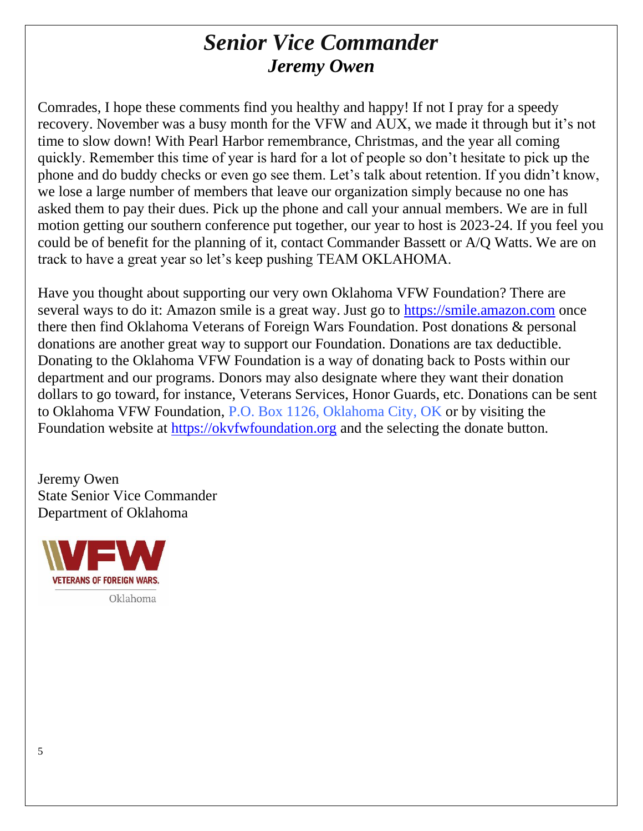# *Senior Vice Commander Jeremy Owen*

Comrades, I hope these comments find you healthy and happy! If not I pray for a speedy recovery. November was a busy month for the VFW and AUX, we made it through but it's not time to slow down! With Pearl Harbor remembrance, Christmas, and the year all coming quickly. Remember this time of year is hard for a lot of people so don't hesitate to pick up the phone and do buddy checks or even go see them. Let's talk about retention. If you didn't know, we lose a large number of members that leave our organization simply because no one has asked them to pay their dues. Pick up the phone and call your annual members. We are in full motion getting our southern conference put together, our year to host is 2023-24. If you feel you could be of benefit for the planning of it, contact Commander Bassett or A/Q Watts. We are on track to have a great year so let's keep pushing TEAM OKLAHOMA.

Have you thought about supporting our very own Oklahoma VFW Foundation? There are several ways to do it: Amazon smile is a great way. Just go to [https://smile.amazon.com](https://smile.amazon.com/) once there then find Oklahoma Veterans of Foreign Wars Foundation. Post donations & personal donations are another great way to support our Foundation. Donations are tax deductible. Donating to the Oklahoma VFW Foundation is a way of donating back to Posts within our department and our programs. Donors may also designate where they want their donation dollars to go toward, for instance, Veterans Services, Honor Guards, etc. Donations can be sent to Oklahoma VFW Foundation, P.O. Box 1126, Oklahoma City, OK or by visiting the Foundation website at [https://okvfwfoundation.org](https://okvfwfoundation.org/) and the selecting the donate button.

Jeremy Owen State Senior Vice Commander Department of Oklahoma

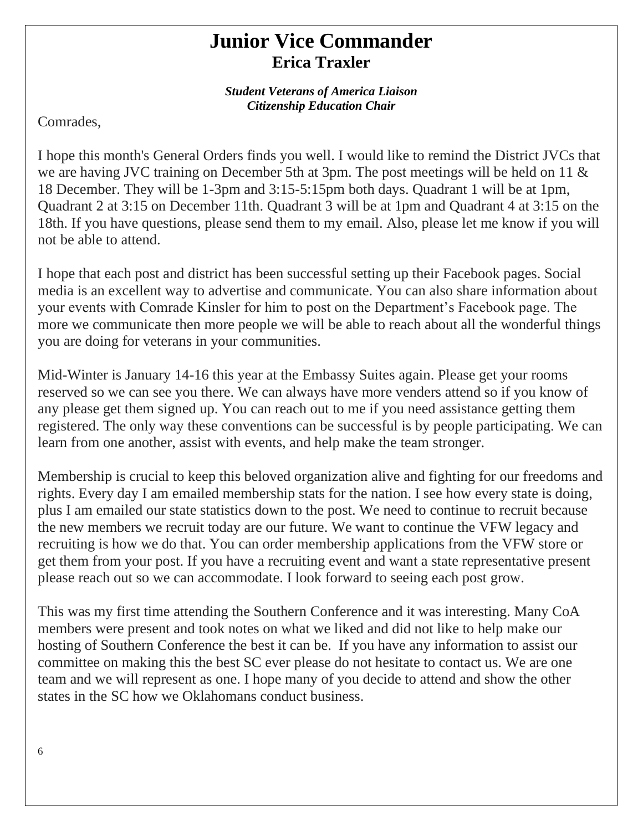## **Junior Vice Commander Erica Traxler**

*Student Veterans of America Liaison Citizenship Education Chair*

Comrades,

I hope this month's General Orders finds you well. I would like to remind the District JVCs that we are having JVC training on December 5th at 3pm. The post meetings will be held on 11 & 18 December. They will be 1-3pm and 3:15-5:15pm both days. Quadrant 1 will be at 1pm, Quadrant 2 at 3:15 on December 11th. Quadrant 3 will be at 1pm and Quadrant 4 at 3:15 on the 18th. If you have questions, please send them to my email. Also, please let me know if you will not be able to attend.

I hope that each post and district has been successful setting up their Facebook pages. Social media is an excellent way to advertise and communicate. You can also share information about your events with Comrade Kinsler for him to post on the Department's Facebook page. The more we communicate then more people we will be able to reach about all the wonderful things you are doing for veterans in your communities.

Mid-Winter is January 14-16 this year at the Embassy Suites again. Please get your rooms reserved so we can see you there. We can always have more venders attend so if you know of any please get them signed up. You can reach out to me if you need assistance getting them registered. The only way these conventions can be successful is by people participating. We can learn from one another, assist with events, and help make the team stronger.

Membership is crucial to keep this beloved organization alive and fighting for our freedoms and rights. Every day I am emailed membership stats for the nation. I see how every state is doing, plus I am emailed our state statistics down to the post. We need to continue to recruit because the new members we recruit today are our future. We want to continue the VFW legacy and recruiting is how we do that. You can order membership applications from the VFW store or get them from your post. If you have a recruiting event and want a state representative present please reach out so we can accommodate. I look forward to seeing each post grow.

This was my first time attending the Southern Conference and it was interesting. Many CoA members were present and took notes on what we liked and did not like to help make our hosting of Southern Conference the best it can be. If you have any information to assist our committee on making this the best SC ever please do not hesitate to contact us. We are one team and we will represent as one. I hope many of you decide to attend and show the other states in the SC how we Oklahomans conduct business.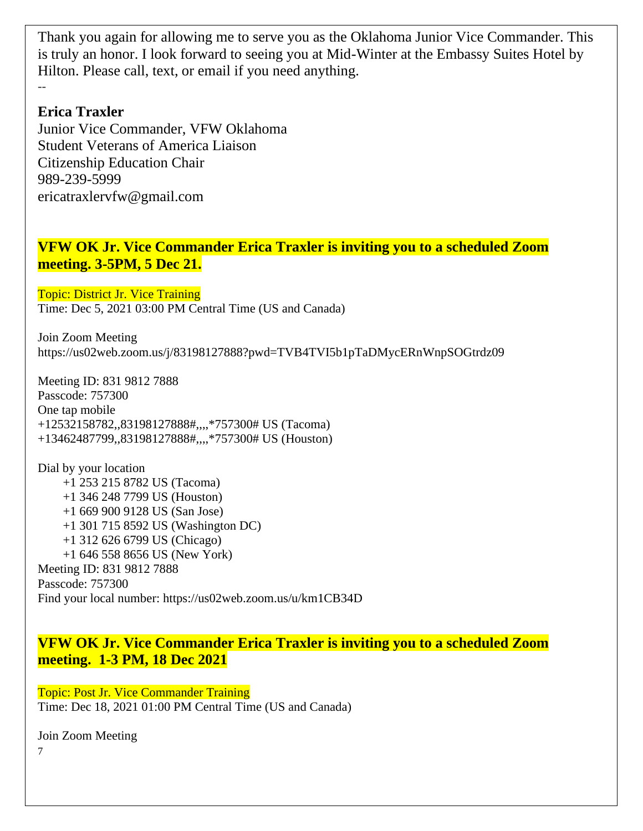Thank you again for allowing me to serve you as the Oklahoma Junior Vice Commander. This is truly an honor. I look forward to seeing you at Mid-Winter at the Embassy Suites Hotel by Hilton. Please call, text, or email if you need anything. --

#### **Erica Traxler**

Junior Vice Commander, VFW Oklahoma Student Veterans of America Liaison Citizenship Education Chair 989-239-5999 ericatraxlervfw@gmail.com

#### **VFW OK Jr. Vice Commander Erica Traxler is inviting you to a scheduled Zoom meeting. 3-5PM, 5 Dec 21.**

Topic: District Jr. Vice Training Time: Dec 5, 2021 03:00 PM Central Time (US and Canada)

Join Zoom Meeting https://us02web.zoom.us/j/83198127888?pwd=TVB4TVI5b1pTaDMycERnWnpSOGtrdz09

Meeting ID: 831 9812 7888 Passcode: 757300 One tap mobile +12532158782,,83198127888#,,,,\*757300# US (Tacoma) +13462487799,,83198127888#,,,,\*757300# US (Houston)

Dial by your location +1 253 215 8782 US (Tacoma) +1 346 248 7799 US (Houston) +1 669 900 9128 US (San Jose) +1 301 715 8592 US (Washington DC) +1 312 626 6799 US (Chicago) +1 646 558 8656 US (New York) Meeting ID: 831 9812 7888 Passcode: 757300 Find your local number: https://us02web.zoom.us/u/km1CB34D

**VFW OK Jr. Vice Commander Erica Traxler is inviting you to a scheduled Zoom meeting. 1-3 PM, 18 Dec 2021**

Topic: Post Jr. Vice Commander Training Time: Dec 18, 2021 01:00 PM Central Time (US and Canada)

Join Zoom Meeting

7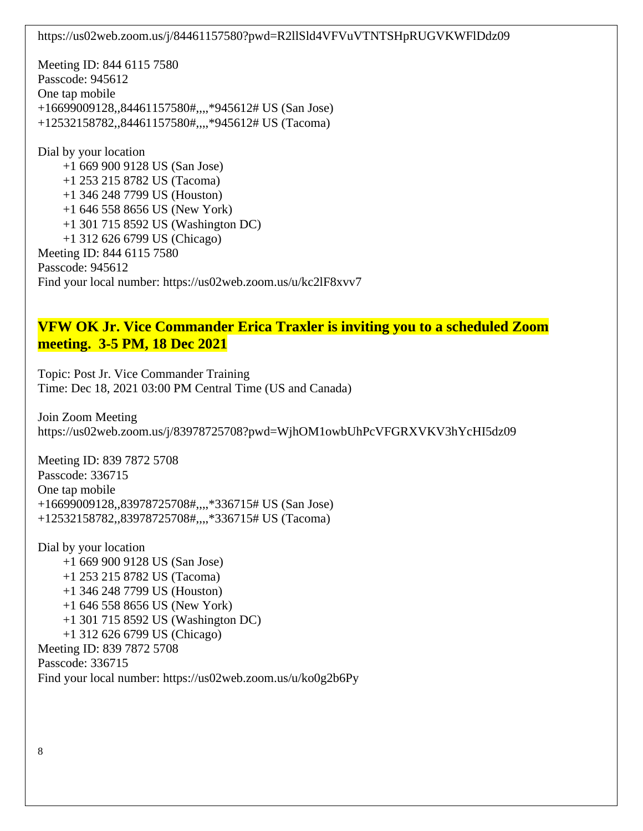https://us02web.zoom.us/j/84461157580?pwd=R2llSld4VFVuVTNTSHpRUGVKWFlDdz09

Meeting ID: 844 6115 7580 Passcode: 945612 One tap mobile +16699009128,,84461157580#,,,,\*945612# US (San Jose) +12532158782,,84461157580#,,,,\*945612# US (Tacoma)

Dial by your location +1 669 900 9128 US (San Jose) +1 253 215 8782 US (Tacoma) +1 346 248 7799 US (Houston) +1 646 558 8656 US (New York) +1 301 715 8592 US (Washington DC) +1 312 626 6799 US (Chicago) Meeting ID: 844 6115 7580 Passcode: 945612 Find your local number: https://us02web.zoom.us/u/kc2lF8xvv7

#### **VFW OK Jr. Vice Commander Erica Traxler is inviting you to a scheduled Zoom meeting. 3-5 PM, 18 Dec 2021**

Topic: Post Jr. Vice Commander Training Time: Dec 18, 2021 03:00 PM Central Time (US and Canada)

Join Zoom Meeting https://us02web.zoom.us/j/83978725708?pwd=WjhOM1owbUhPcVFGRXVKV3hYcHI5dz09

Meeting ID: 839 7872 5708 Passcode: 336715 One tap mobile +16699009128,,83978725708#,,,,\*336715# US (San Jose) +12532158782,,83978725708#,,,,\*336715# US (Tacoma)

Dial by your location +1 669 900 9128 US (San Jose) +1 253 215 8782 US (Tacoma) +1 346 248 7799 US (Houston) +1 646 558 8656 US (New York) +1 301 715 8592 US (Washington DC) +1 312 626 6799 US (Chicago) Meeting ID: 839 7872 5708 Passcode: 336715 Find your local number: https://us02web.zoom.us/u/ko0g2b6Py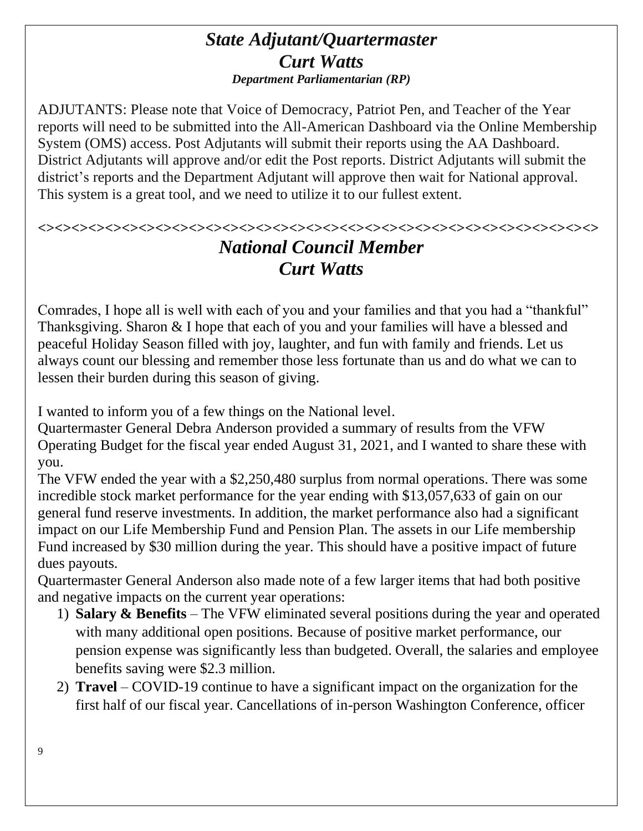### *State Adjutant/Quartermaster Curt Watts Department Parliamentarian (RP)*

ADJUTANTS: Please note that Voice of Democracy, Patriot Pen, and Teacher of the Year reports will need to be submitted into the All-American Dashboard via the Online Membership System (OMS) access. Post Adjutants will submit their reports using the AA Dashboard. District Adjutants will approve and/or edit the Post reports. District Adjutants will submit the district's reports and the Department Adjutant will approve then wait for National approval. This system is a great tool, and we need to utilize it to our fullest extent.

### **<><><><><><><><><><><><><><><><><><><<><><><><><><><><><><><><><><>** *National Council Member Curt Watts*

Comrades, I hope all is well with each of you and your families and that you had a "thankful" Thanksgiving. Sharon & I hope that each of you and your families will have a blessed and peaceful Holiday Season filled with joy, laughter, and fun with family and friends. Let us always count our blessing and remember those less fortunate than us and do what we can to lessen their burden during this season of giving.

I wanted to inform you of a few things on the National level.

Quartermaster General Debra Anderson provided a summary of results from the VFW Operating Budget for the fiscal year ended August 31, 2021, and I wanted to share these with you.

The VFW ended the year with a \$2,250,480 surplus from normal operations. There was some incredible stock market performance for the year ending with \$13,057,633 of gain on our general fund reserve investments. In addition, the market performance also had a significant impact on our Life Membership Fund and Pension Plan. The assets in our Life membership Fund increased by \$30 million during the year. This should have a positive impact of future dues payouts.

Quartermaster General Anderson also made note of a few larger items that had both positive and negative impacts on the current year operations:

- 1) **Salary & Benefits** The VFW eliminated several positions during the year and operated with many additional open positions. Because of positive market performance, our pension expense was significantly less than budgeted. Overall, the salaries and employee benefits saving were \$2.3 million.
- 2) **Travel** COVID-19 continue to have a significant impact on the organization for the first half of our fiscal year. Cancellations of in-person Washington Conference, officer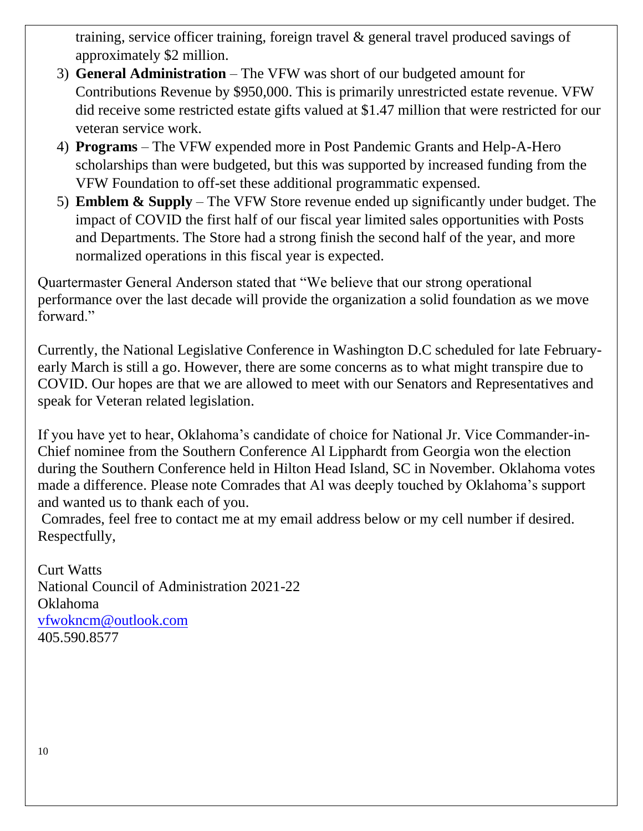training, service officer training, foreign travel & general travel produced savings of approximately \$2 million.

- 3) **General Administration** The VFW was short of our budgeted amount for Contributions Revenue by \$950,000. This is primarily unrestricted estate revenue. VFW did receive some restricted estate gifts valued at \$1.47 million that were restricted for our veteran service work.
- 4) **Programs** The VFW expended more in Post Pandemic Grants and Help-A-Hero scholarships than were budgeted, but this was supported by increased funding from the VFW Foundation to off-set these additional programmatic expensed.
- 5) **Emblem & Supply** The VFW Store revenue ended up significantly under budget. The impact of COVID the first half of our fiscal year limited sales opportunities with Posts and Departments. The Store had a strong finish the second half of the year, and more normalized operations in this fiscal year is expected.

Quartermaster General Anderson stated that "We believe that our strong operational performance over the last decade will provide the organization a solid foundation as we move forward."

Currently, the National Legislative Conference in Washington D.C scheduled for late Februaryearly March is still a go. However, there are some concerns as to what might transpire due to COVID. Our hopes are that we are allowed to meet with our Senators and Representatives and speak for Veteran related legislation.

If you have yet to hear, Oklahoma's candidate of choice for National Jr. Vice Commander-in-Chief nominee from the Southern Conference Al Lipphardt from Georgia won the election during the Southern Conference held in Hilton Head Island, SC in November. Oklahoma votes made a difference. Please note Comrades that Al was deeply touched by Oklahoma's support and wanted us to thank each of you.

Comrades, feel free to contact me at my email address below or my cell number if desired. Respectfully,

Curt Watts National Council of Administration 2021-22 Oklahoma [vfwokncm@outlook.com](mailto:vfwokncm@outlook.com) 405.590.8577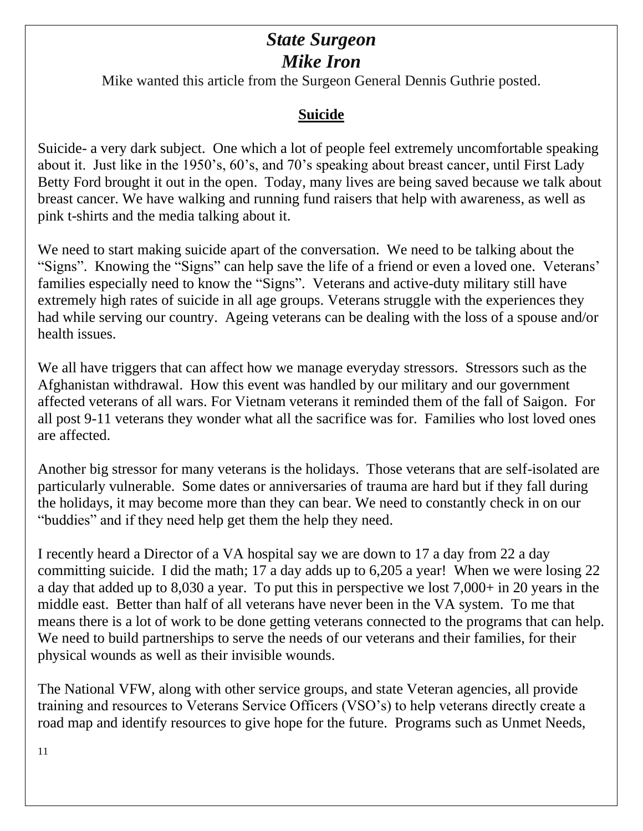### *State Surgeon Mike Iron*

Mike wanted this article from the Surgeon General Dennis Guthrie posted.

### **Suicide**

Suicide- a very dark subject. One which a lot of people feel extremely uncomfortable speaking about it. Just like in the 1950's, 60's, and 70's speaking about breast cancer, until First Lady Betty Ford brought it out in the open. Today, many lives are being saved because we talk about breast cancer. We have walking and running fund raisers that help with awareness, as well as pink t-shirts and the media talking about it.

We need to start making suicide apart of the conversation. We need to be talking about the "Signs". Knowing the "Signs" can help save the life of a friend or even a loved one. Veterans' families especially need to know the "Signs". Veterans and active-duty military still have extremely high rates of suicide in all age groups. Veterans struggle with the experiences they had while serving our country. Ageing veterans can be dealing with the loss of a spouse and/or health issues.

We all have triggers that can affect how we manage everyday stressors. Stressors such as the Afghanistan withdrawal. How this event was handled by our military and our government affected veterans of all wars. For Vietnam veterans it reminded them of the fall of Saigon. For all post 9-11 veterans they wonder what all the sacrifice was for. Families who lost loved ones are affected.

Another big stressor for many veterans is the holidays. Those veterans that are self-isolated are particularly vulnerable. Some dates or anniversaries of trauma are hard but if they fall during the holidays, it may become more than they can bear. We need to constantly check in on our "buddies" and if they need help get them the help they need.

I recently heard a Director of a VA hospital say we are down to 17 a day from 22 a day committing suicide. I did the math; 17 a day adds up to 6,205 a year! When we were losing 22 a day that added up to 8,030 a year. To put this in perspective we lost 7,000+ in 20 years in the middle east. Better than half of all veterans have never been in the VA system. To me that means there is a lot of work to be done getting veterans connected to the programs that can help. We need to build partnerships to serve the needs of our veterans and their families, for their physical wounds as well as their invisible wounds.

The National VFW, along with other service groups, and state Veteran agencies, all provide training and resources to Veterans Service Officers (VSO's) to help veterans directly create a road map and identify resources to give hope for the future. Programs such as Unmet Needs,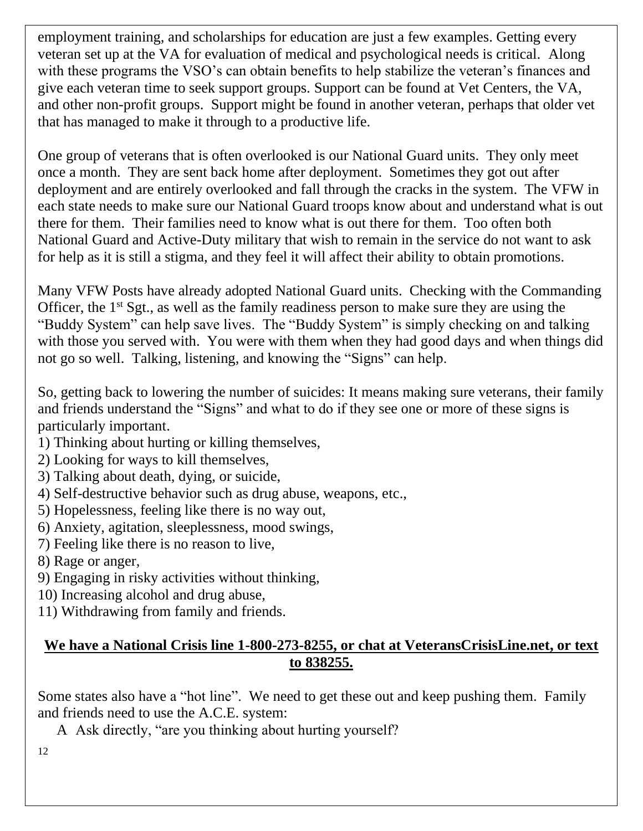employment training, and scholarships for education are just a few examples. Getting every veteran set up at the VA for evaluation of medical and psychological needs is critical. Along with these programs the VSO's can obtain benefits to help stabilize the veteran's finances and give each veteran time to seek support groups. Support can be found at Vet Centers, the VA, and other non-profit groups. Support might be found in another veteran, perhaps that older vet that has managed to make it through to a productive life.

One group of veterans that is often overlooked is our National Guard units. They only meet once a month. They are sent back home after deployment. Sometimes they got out after deployment and are entirely overlooked and fall through the cracks in the system. The VFW in each state needs to make sure our National Guard troops know about and understand what is out there for them. Their families need to know what is out there for them. Too often both National Guard and Active-Duty military that wish to remain in the service do not want to ask for help as it is still a stigma, and they feel it will affect their ability to obtain promotions.

Many VFW Posts have already adopted National Guard units. Checking with the Commanding Officer, the  $1<sup>st</sup>$  Sgt., as well as the family readiness person to make sure they are using the "Buddy System" can help save lives. The "Buddy System" is simply checking on and talking with those you served with. You were with them when they had good days and when things did not go so well. Talking, listening, and knowing the "Signs" can help.

So, getting back to lowering the number of suicides: It means making sure veterans, their family and friends understand the "Signs" and what to do if they see one or more of these signs is particularly important.

- 1) Thinking about hurting or killing themselves,
- 2) Looking for ways to kill themselves,
- 3) Talking about death, dying, or suicide,
- 4) Self-destructive behavior such as drug abuse, weapons, etc.,
- 5) Hopelessness, feeling like there is no way out,
- 6) Anxiety, agitation, sleeplessness, mood swings,
- 7) Feeling like there is no reason to live,
- 8) Rage or anger,
- 9) Engaging in risky activities without thinking,
- 10) Increasing alcohol and drug abuse,
- 11) Withdrawing from family and friends.

### We have a National Crisis line 1-800-273-8255, or chat at VeteransCrisisLine.net, or text **to 838255.**

Some states also have a "hot line". We need to get these out and keep pushing them. Family and friends need to use the A.C.E. system:

A Ask directly, "are you thinking about hurting yourself?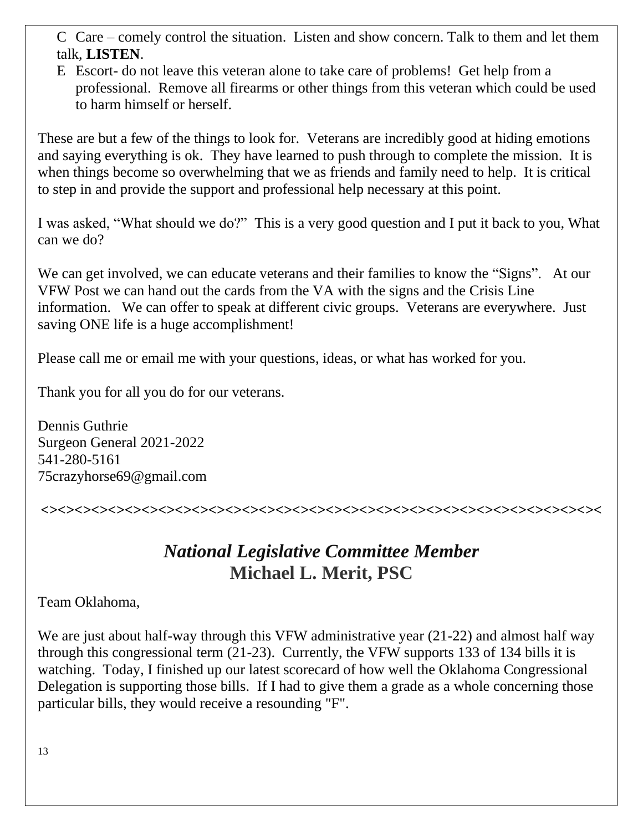C Care – comely control the situation. Listen and show concern. Talk to them and let them talk, **LISTEN**.

E Escort- do not leave this veteran alone to take care of problems! Get help from a professional. Remove all firearms or other things from this veteran which could be used to harm himself or herself.

These are but a few of the things to look for. Veterans are incredibly good at hiding emotions and saying everything is ok. They have learned to push through to complete the mission. It is when things become so overwhelming that we as friends and family need to help. It is critical to step in and provide the support and professional help necessary at this point.

I was asked, "What should we do?" This is a very good question and I put it back to you, What can we do?

We can get involved, we can educate veterans and their families to know the "Signs". At our VFW Post we can hand out the cards from the VA with the signs and the Crisis Line information. We can offer to speak at different civic groups. Veterans are everywhere. Just saving ONE life is a huge accomplishment!

Please call me or email me with your questions, ideas, or what has worked for you.

Thank you for all you do for our veterans.

Dennis Guthrie Surgeon General 2021-2022 541-280-5161 75crazyhorse69@gmail.com

*<><><><><><><><><><><><><><><><><><><><><><><><><><><><><><><><><><*

### *National Legislative Committee Member* **Michael L. Merit, PSC**

Team Oklahoma,

We are just about half-way through this VFW administrative year (21-22) and almost half way through this congressional term (21-23). Currently, the VFW supports 133 of 134 bills it is watching. Today, I finished up our latest scorecard of how well the Oklahoma Congressional Delegation is supporting those bills. If I had to give them a grade as a whole concerning those particular bills, they would receive a resounding "F".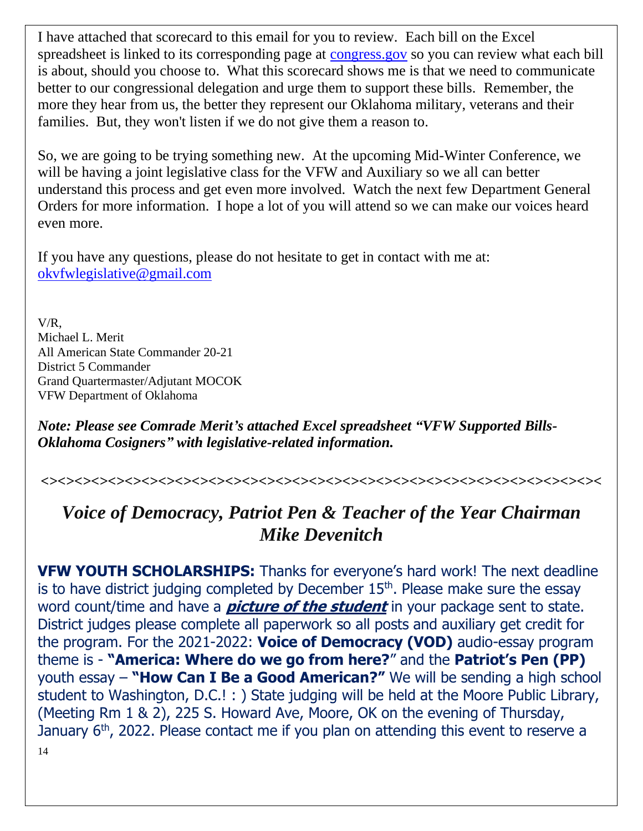I have attached that scorecard to this email for you to review. Each bill on the Excel spreadsheet is linked to its corresponding page at [congress.gov](http://congress.gov/) so you can review what each bill is about, should you choose to. What this scorecard shows me is that we need to communicate better to our congressional delegation and urge them to support these bills. Remember, the more they hear from us, the better they represent our Oklahoma military, veterans and their families. But, they won't listen if we do not give them a reason to.

So, we are going to be trying something new. At the upcoming Mid-Winter Conference, we will be having a joint legislative class for the VFW and Auxiliary so we all can better understand this process and get even more involved. Watch the next few Department General Orders for more information. I hope a lot of you will attend so we can make our voices heard even more.

If you have any questions, please do not hesitate to get in contact with me at: [okvfwlegislative@gmail.com](mailto:okvfwlegislative@gmail.com)

V/R, Michael L. Merit All American State Commander 20-21 District 5 Commander Grand Quartermaster/Adjutant MOCOK VFW Department of Oklahoma

*Note: Please see Comrade Merit's attached Excel spreadsheet "VFW Supported Bills-Oklahoma Cosigners" with legislative-related information.*

*<><><><><><><><><><><><><><><><><><><><><><><><><><><><><><><><><><*

### *Voice of Democracy, Patriot Pen & Teacher of the Year Chairman Mike Devenitch*

14 **VFW YOUTH SCHOLARSHIPS:** Thanks for everyone's hard work! The next deadline is to have district judging completed by December  $15<sup>th</sup>$ . Please make sure the essay word count/time and have a **picture of the student** in your package sent to state. District judges please complete all paperwork so all posts and auxiliary get credit for the program. For the 2021-2022: **Voice of Democracy (VOD)** audio-essay program theme is - **"America: Where do we go from here?**" and the **Patriot's Pen (PP)** youth essay – **"How Can I Be a Good American?"** We will be sending a high school student to Washington, D.C.! : ) State judging will be held at the Moore Public Library, (Meeting Rm 1 & 2), 225 S. Howard Ave, Moore, OK on the evening of Thursday, January  $6<sup>th</sup>$ , 2022. Please contact me if you plan on attending this event to reserve a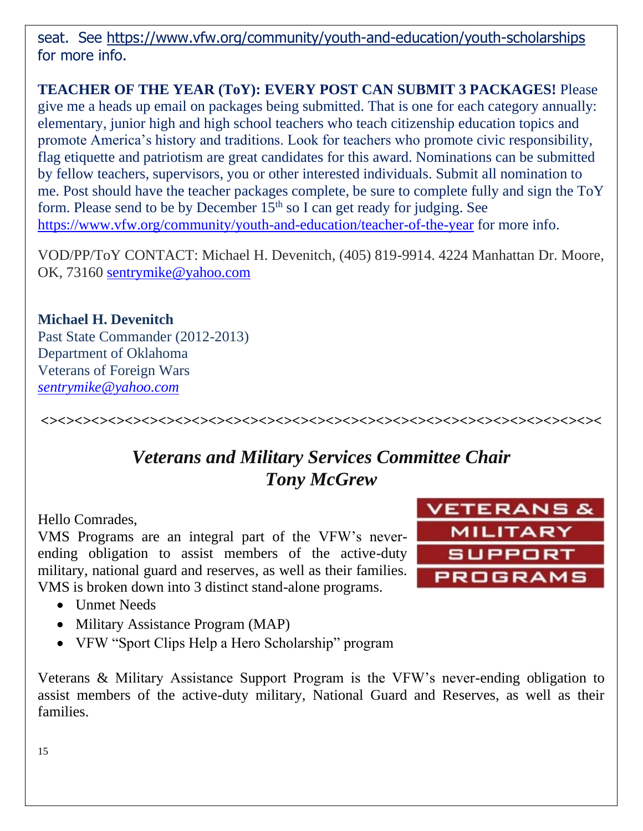seat. See<https://www.vfw.org/community/youth-and-education/youth-scholarships> for more info.

**TEACHER OF THE YEAR (ToY): EVERY POST CAN SUBMIT 3 PACKAGES!** Please give me a heads up email on packages being submitted. That is one for each category annually: elementary, junior high and high school teachers who teach citizenship education topics and promote America's history and traditions. Look for teachers who promote civic responsibility, flag etiquette and patriotism are great candidates for this award. Nominations can be submitted by fellow teachers, supervisors, you or other interested individuals. Submit all nomination to me. Post should have the teacher packages complete, be sure to complete fully and sign the ToY form. Please send to be by December  $15<sup>th</sup>$  so I can get ready for judging. See <https://www.vfw.org/community/youth-and-education/teacher-of-the-year> for more info.

VOD/PP/ToY CONTACT: Michael H. Devenitch, (405) 819-9914. 4224 Manhattan Dr. Moore, OK, 73160 [sentrymike@yahoo.com](mailto:sentrymike@yahoo.com)

**Michael H. Devenitch** Past State Commander (2012-2013) Department of Oklahoma Veterans of Foreign Wars *[sentrymike@yahoo.com](mailto:sentrymike@yahoo.com)*

*<><><><><><><><><><><><><><><><><><><><><><><><><><><><><><><><><><*

## *Veterans and Military Services Committee Chair Tony McGrew*

Hello Comrades,

VMS Programs are an integral part of the VFW's neverending obligation to assist members of the active-duty military, national guard and reserves, as well as their families. VMS is broken down into 3 distinct stand-alone programs.

- Unmet Needs
- Military Assistance Program (MAP)
- VFW "Sport Clips Help a Hero Scholarship" program

Veterans & Military Assistance Support Program is the VFW's never-ending obligation to assist members of the active-duty military, National Guard and Reserves, as well as their families.



15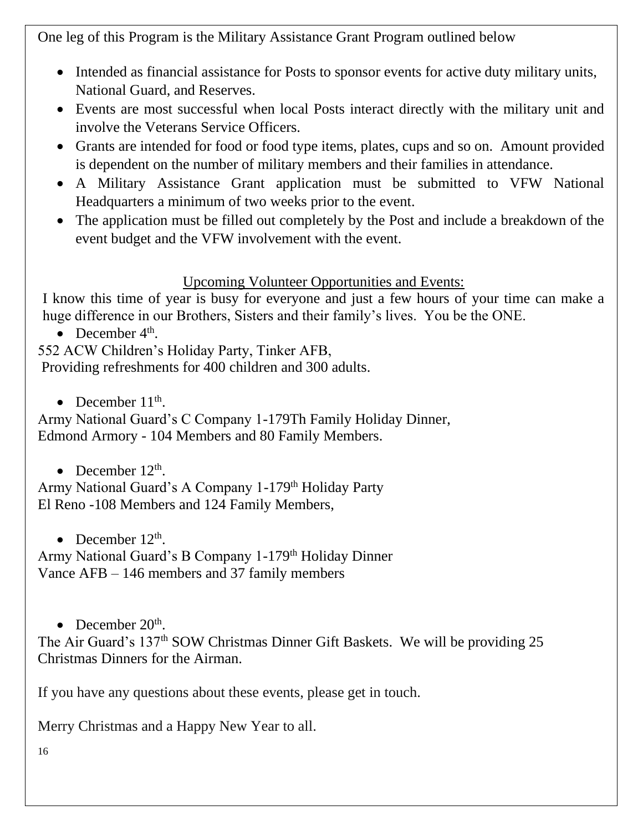One leg of this Program is the Military Assistance Grant Program outlined below

- Intended as financial assistance for Posts to sponsor events for active duty military units, National Guard, and Reserves.
- Events are most successful when local Posts interact directly with the military unit and involve the Veterans Service Officers.
- Grants are intended for food or food type items, plates, cups and so on. Amount provided is dependent on the number of military members and their families in attendance.
- A Military Assistance Grant application must be submitted to VFW National Headquarters a minimum of two weeks prior to the event.
- The application must be filled out completely by the Post and include a breakdown of the event budget and the VFW involvement with the event.

### Upcoming Volunteer Opportunities and Events:

I know this time of year is busy for everyone and just a few hours of your time can make a huge difference in our Brothers, Sisters and their family's lives. You be the ONE.

• December  $4<sup>th</sup>$ .

552 ACW Children's Holiday Party, Tinker AFB,

Providing refreshments for 400 children and 300 adults.

• December  $11^{\text{th}}$ .

Army National Guard's C Company 1-179Th Family Holiday Dinner, Edmond Armory - 104 Members and 80 Family Members.

• December  $12^{\text{th}}$ .

Army National Guard's A Company 1-179<sup>th</sup> Holiday Party El Reno -108 Members and 124 Family Members,

• December  $12^{\text{th}}$ .

Army National Guard's B Company 1-179<sup>th</sup> Holiday Dinner Vance AFB – 146 members and 37 family members

• December  $20<sup>th</sup>$ .

The Air Guard's 137<sup>th</sup> SOW Christmas Dinner Gift Baskets. We will be providing 25 Christmas Dinners for the Airman.

If you have any questions about these events, please get in touch.

Merry Christmas and a Happy New Year to all.

16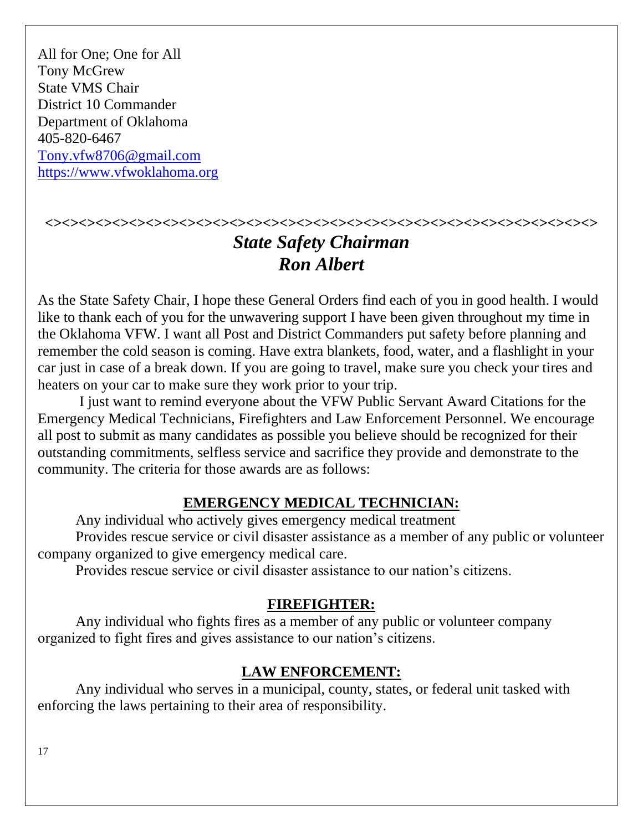All for One; One for All Tony McGrew State VMS Chair District 10 Commander Department of Oklahoma 405-820-6467 [Tony.vfw8706@gmail.com](mailto:Tony.vfw8706@gmail.com) [https://www.vfwoklahoma.org](https://www.vfwoklahoma.org/)

### *<><><><><><><><><><><><><><><><><><><><><><><><><><><><><><><><><> State Safety Chairman Ron Albert*

As the State Safety Chair, I hope these General Orders find each of you in good health. I would like to thank each of you for the unwavering support I have been given throughout my time in the Oklahoma VFW. I want all Post and District Commanders put safety before planning and remember the cold season is coming. Have extra blankets, food, water, and a flashlight in your car just in case of a break down. If you are going to travel, make sure you check your tires and heaters on your car to make sure they work prior to your trip.

I just want to remind everyone about the VFW Public Servant Award Citations for the Emergency Medical Technicians, Firefighters and Law Enforcement Personnel. We encourage all post to submit as many candidates as possible you believe should be recognized for their outstanding commitments, selfless service and sacrifice they provide and demonstrate to the community. The criteria for those awards are as follows:

### **EMERGENCY MEDICAL TECHNICIAN:**

Any individual who actively gives emergency medical treatment

Provides rescue service or civil disaster assistance as a member of any public or volunteer company organized to give emergency medical care.

Provides rescue service or civil disaster assistance to our nation's citizens.

#### **FIREFIGHTER:**

Any individual who fights fires as a member of any public or volunteer company organized to fight fires and gives assistance to our nation's citizens.

### **LAW ENFORCEMENT:**

Any individual who serves in a municipal, county, states, or federal unit tasked with enforcing the laws pertaining to their area of responsibility.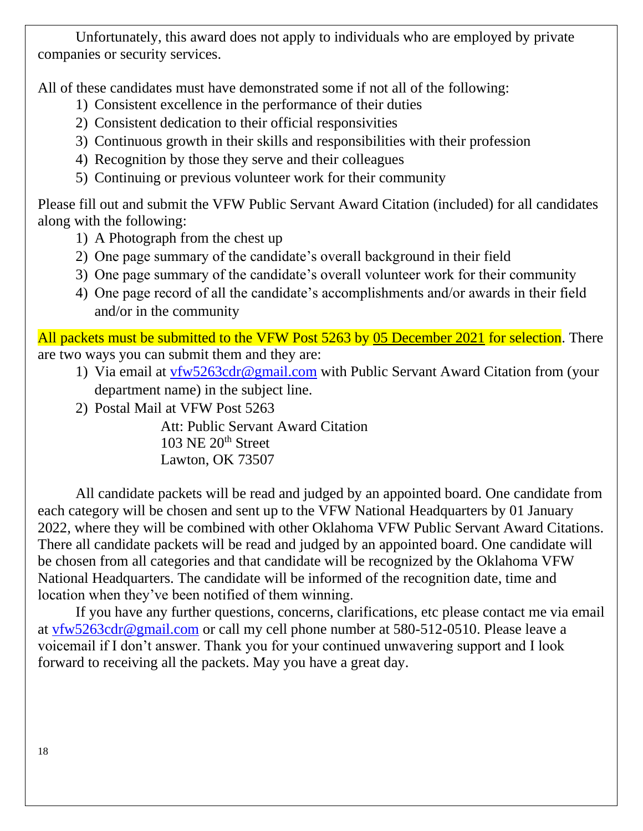Unfortunately, this award does not apply to individuals who are employed by private companies or security services.

All of these candidates must have demonstrated some if not all of the following:

- 1) Consistent excellence in the performance of their duties
- 2) Consistent dedication to their official responsivities
- 3) Continuous growth in their skills and responsibilities with their profession
- 4) Recognition by those they serve and their colleagues
- 5) Continuing or previous volunteer work for their community

Please fill out and submit the VFW Public Servant Award Citation (included) for all candidates along with the following:

- 1) A Photograph from the chest up
- 2) One page summary of the candidate's overall background in their field
- 3) One page summary of the candidate's overall volunteer work for their community
- 4) One page record of all the candidate's accomplishments and/or awards in their field and/or in the community

All packets must be submitted to the VFW Post 5263 by 05 December 2021 for selection. There are two ways you can submit them and they are:

- 1) Via email at [vfw5263cdr@gmail.com](mailto:vfw5263cdr@gmail.com) with Public Servant Award Citation from (your department name) in the subject line.
- 2) Postal Mail at VFW Post 5263

Att: Public Servant Award Citation  $103$  NE  $20<sup>th</sup>$  Street Lawton, OK 73507

All candidate packets will be read and judged by an appointed board. One candidate from each category will be chosen and sent up to the VFW National Headquarters by 01 January 2022, where they will be combined with other Oklahoma VFW Public Servant Award Citations. There all candidate packets will be read and judged by an appointed board. One candidate will be chosen from all categories and that candidate will be recognized by the Oklahoma VFW National Headquarters. The candidate will be informed of the recognition date, time and location when they've been notified of them winning.

If you have any further questions, concerns, clarifications, etc please contact me via email at [vfw5263cdr@gmail.com](mailto:vfw5263cdr@gmail.com) or call my cell phone number at 580-512-0510. Please leave a voicemail if I don't answer. Thank you for your continued unwavering support and I look forward to receiving all the packets. May you have a great day.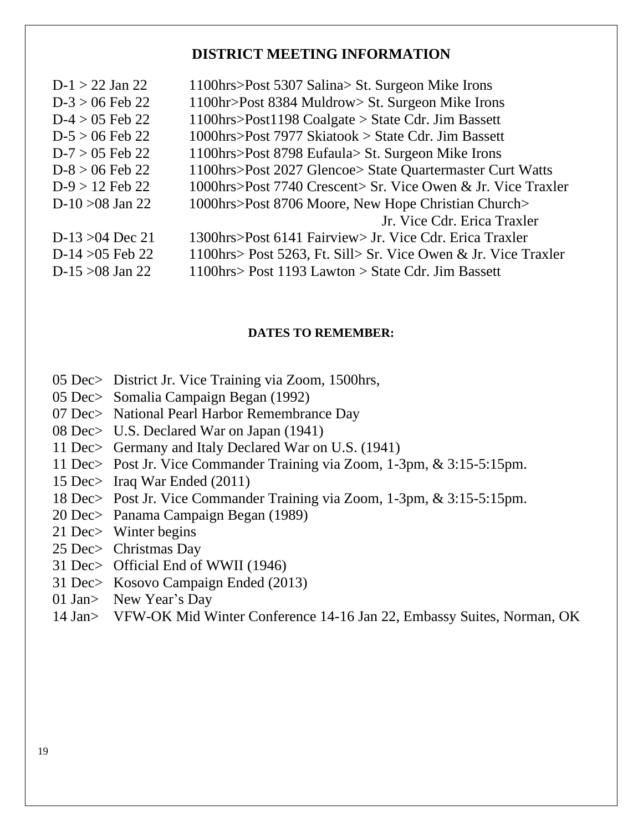#### **DISTRICT MEETING INFORMATION**

| $D-1 > 22$ Jan 22  | 1100hrs>Post 5307 Salina> St. Surgeon Mike Irons               |
|--------------------|----------------------------------------------------------------|
| $D-3 > 06$ Feb 22  | 1100hr>Post 8384 Muldrow> St. Surgeon Mike Irons               |
| $D-4 > 05$ Feb 22  | 1100hrs>Post1198 Coalgate > State Cdr. Jim Bassett             |
| $D-5 > 06$ Feb 22  | 1000hrs>Post 7977 Skiatook > State Cdr. Jim Bassett            |
| $D-7 > 05$ Feb 22  | 1100hrs>Post 8798 Eufaula> St. Surgeon Mike Irons              |
| $D-8 > 06$ Feb 22  | 1100hrs>Post 2027 Glencoe> State Quartermaster Curt Watts      |
| $D-9 > 12$ Feb 22  | 1000hrs>Post 7740 Crescent> Sr. Vice Owen & Jr. Vice Traxler   |
| D-10 $>08$ Jan 22  | 1000hrs>Post 8706 Moore, New Hope Christian Church>            |
|                    | Jr. Vice Cdr. Erica Traxler                                    |
| $D-13 > 04$ Dec 21 | 1300hrs>Post 6141 Fairview> Jr. Vice Cdr. Erica Traxler        |
| D-14 $>05$ Feb 22  | 1100hrs> Post 5263, Ft. Sill> Sr. Vice Owen & Jr. Vice Traxler |
| $D-15 > 08$ Jan 22 | $1100$ hrs> Post 1193 Lawton > State Cdr. Jim Bassett          |
|                    |                                                                |

#### **DATES TO REMEMBER:**

- 05 Dec> District Jr. Vice Training via Zoom, 1500hrs,
- 05 Dec> Somalia Campaign Began (1992)
- 07 Dec> National Pearl Harbor Remembrance Day
- 08 Dec> U.S. Declared War on Japan (1941)
- 11 Dec> Germany and Italy Declared War on U.S. (1941)
- 11 Dec> Post Jr. Vice Commander Training via Zoom, 1-3pm, & 3:15-5:15pm.
- 15 Dec> Iraq War Ended (2011)
- 18 Dec> Post Jr. Vice Commander Training via Zoom, 1-3pm, & 3:15-5:15pm.
- 20 Dec> Panama Campaign Began (1989)
- 21 Dec> Winter begins
- 25 Dec> Christmas Day
- 31 Dec> Official End of WWII (1946)
- 31 Dec> Kosovo Campaign Ended (2013)
- 01 Jan> New Year's Day
- 14 Jan> VFW-OK Mid Winter Conference 14-16 Jan 22, Embassy Suites, Norman, OK